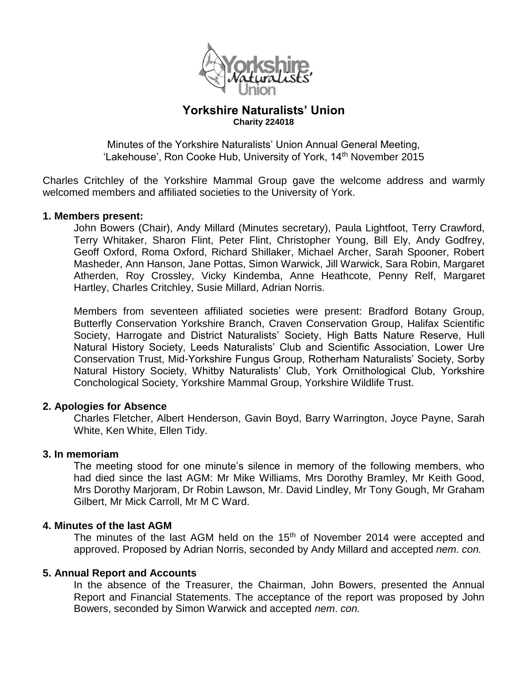

## **Yorkshire Naturalists' Union Charity 224018**

Minutes of the Yorkshire Naturalists' Union Annual General Meeting, 'Lakehouse', Ron Cooke Hub, University of York, 14<sup>th</sup> November 2015

Charles Critchley of the Yorkshire Mammal Group gave the welcome address and warmly welcomed members and affiliated societies to the University of York.

#### **1. Members present:**

John Bowers (Chair), Andy Millard (Minutes secretary), Paula Lightfoot, Terry Crawford, Terry Whitaker, Sharon Flint, Peter Flint, Christopher Young, Bill Ely, Andy Godfrey, Geoff Oxford, Roma Oxford, Richard Shillaker, Michael Archer, Sarah Spooner, Robert Masheder, Ann Hanson, Jane Pottas, Simon Warwick, Jill Warwick, Sara Robin, Margaret Atherden, Roy Crossley, Vicky Kindemba, Anne Heathcote, Penny Relf, Margaret Hartley, Charles Critchley, Susie Millard, Adrian Norris.

Members from seventeen affiliated societies were present: Bradford Botany Group, Butterfly Conservation Yorkshire Branch, Craven Conservation Group, Halifax Scientific Society, Harrogate and District Naturalists' Society, High Batts Nature Reserve, Hull Natural History Society, Leeds Naturalists' Club and Scientific Association, Lower Ure Conservation Trust, Mid-Yorkshire Fungus Group, Rotherham Naturalists' Society, Sorby Natural History Society, Whitby Naturalists' Club, York Ornithological Club, Yorkshire Conchological Society, Yorkshire Mammal Group, Yorkshire Wildlife Trust.

#### **2. Apologies for Absence**

Charles Fletcher, Albert Henderson, Gavin Boyd, Barry Warrington, Joyce Payne, Sarah White, Ken White, Ellen Tidy.

#### **3. In memoriam**

The meeting stood for one minute's silence in memory of the following members, who had died since the last AGM: Mr Mike Williams, Mrs Dorothy Bramley, Mr Keith Good, Mrs Dorothy Marjoram, Dr Robin Lawson, Mr. David Lindley, Mr Tony Gough, Mr Graham Gilbert, Mr Mick Carroll, Mr M C Ward.

#### **4. Minutes of the last AGM**

The minutes of the last AGM held on the  $15<sup>th</sup>$  of November 2014 were accepted and approved. Proposed by Adrian Norris, seconded by Andy Millard and accepted *nem*. *con.* 

#### **5. Annual Report and Accounts**

In the absence of the Treasurer, the Chairman, John Bowers, presented the Annual Report and Financial Statements. The acceptance of the report was proposed by John Bowers, seconded by Simon Warwick and accepted *nem*. *con.*